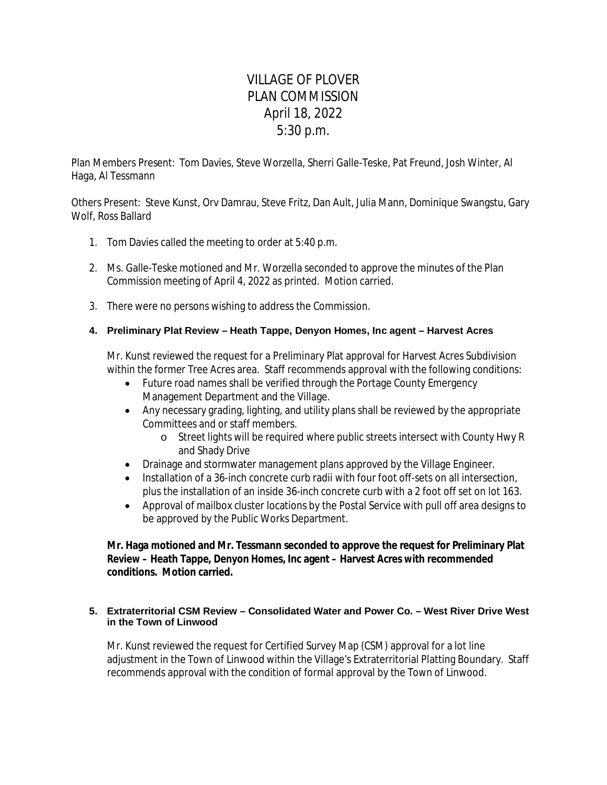# VILLAGE OF PLOVER PLAN COMMISSION April 18, 2022 5:30 p.m.

Plan Members Present: Tom Davies, Steve Worzella, Sherri Galle-Teske, Pat Freund, Josh Winter, Al Haga, Al Tessmann

Others Present: Steve Kunst, Orv Damrau, Steve Fritz, Dan Ault, Julia Mann, Dominique Swangstu, Gary Wolf, Ross Ballard

- 1. Tom Davies called the meeting to order at 5:40 p.m.
- 2. Ms. Galle-Teske motioned and Mr. Worzella seconded to approve the minutes of the Plan Commission meeting of April 4, 2022 as printed. Motion carried.
- 3. There were no persons wishing to address the Commission.

# **4. Preliminary Plat Review – Heath Tappe, Denyon Homes, Inc agent – Harvest Acres**

Mr. Kunst reviewed the request for a Preliminary Plat approval for Harvest Acres Subdivision within the former Tree Acres area. Staff recommends approval with the following conditions:

- Future road names shall be verified through the Portage County Emergency Management Department and the Village.
- Any necessary grading, lighting, and utility plans shall be reviewed by the appropriate Committees and or staff members.
	- o Street lights will be required where public streets intersect with County Hwy R and Shady Drive
- Drainage and stormwater management plans approved by the Village Engineer.
- Installation of a 36-inch concrete curb radii with four foot off-sets on all intersection. plus the installation of an inside 36-inch concrete curb with a 2 foot off set on lot 163.
- Approval of mailbox cluster locations by the Postal Service with pull off area designs to be approved by the Public Works Department.

**Mr. Haga motioned and Mr. Tessmann seconded to approve the request for Preliminary Plat Review – Heath Tappe, Denyon Homes, Inc agent – Harvest Acres with recommended conditions. Motion carried.**

## **5. Extraterritorial CSM Review – Consolidated Water and Power Co. – West River Drive West in the Town of Linwood**

Mr. Kunst reviewed the request for Certified Survey Map (CSM) approval for a lot line adjustment in the Town of Linwood within the Village's Extraterritorial Platting Boundary. Staff recommends approval with the condition of formal approval by the Town of Linwood.